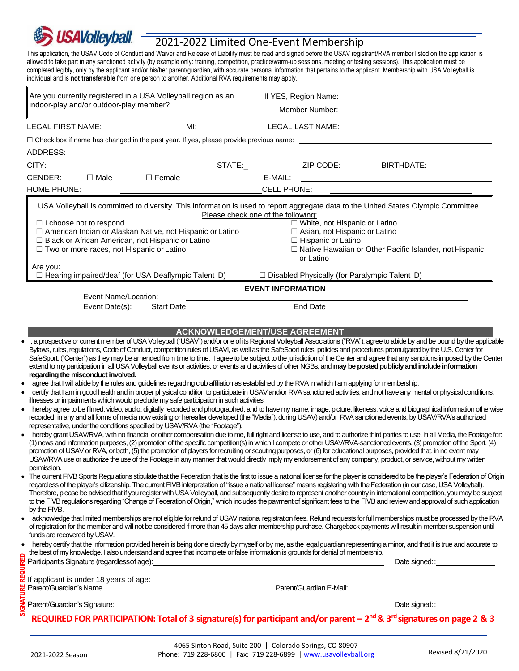# **USAVolleyball**

## 2021-2022 Limited One-Event Membership

This application, the USAV Code of Conduct and Waiver and Release of Liability must be read and signed before the USAV registrant/RVA member listed on the application is allowed to take part in any sanctioned activity (by example only: training, competition, practice/warm-up sessions, meeting or testing sessions). This application must be completed legibly, only by the applicant and/or his/her parent/guardian, with accurate personal information that pertains to the applicant. Membership with USA Volleyball is individual and is **not transferable** from one person to another. Additional RVA requirements may apply.

| Are you currently registered in a USA Volleyball region as an<br>indoor-play and/or outdoor-play member?                                                                                                                                                                                                                                                                                                                                                       |                                                                                                                                                                                                                                                                                                                                                                                                                                                                                                                                                                                                                                                                                                                                                                                                                                                                                                                                                                                                                                                                                                                                                                                                                                                                                                                                                                                                                                                                                                                                                                                                                                                                                                                                                                                                                                                                                                                                                                                                                                                                                                                                                                                                                                                                                                                                                                                                                                                                                                                                                                                                                                                                                                                                                                                                                                                                                                                                                                                                                                                      |
|----------------------------------------------------------------------------------------------------------------------------------------------------------------------------------------------------------------------------------------------------------------------------------------------------------------------------------------------------------------------------------------------------------------------------------------------------------------|------------------------------------------------------------------------------------------------------------------------------------------------------------------------------------------------------------------------------------------------------------------------------------------------------------------------------------------------------------------------------------------------------------------------------------------------------------------------------------------------------------------------------------------------------------------------------------------------------------------------------------------------------------------------------------------------------------------------------------------------------------------------------------------------------------------------------------------------------------------------------------------------------------------------------------------------------------------------------------------------------------------------------------------------------------------------------------------------------------------------------------------------------------------------------------------------------------------------------------------------------------------------------------------------------------------------------------------------------------------------------------------------------------------------------------------------------------------------------------------------------------------------------------------------------------------------------------------------------------------------------------------------------------------------------------------------------------------------------------------------------------------------------------------------------------------------------------------------------------------------------------------------------------------------------------------------------------------------------------------------------------------------------------------------------------------------------------------------------------------------------------------------------------------------------------------------------------------------------------------------------------------------------------------------------------------------------------------------------------------------------------------------------------------------------------------------------------------------------------------------------------------------------------------------------------------------------------------------------------------------------------------------------------------------------------------------------------------------------------------------------------------------------------------------------------------------------------------------------------------------------------------------------------------------------------------------------------------------------------------------------------------------------------------------------|
| LEGAL FIRST NAME:                                                                                                                                                                                                                                                                                                                                                                                                                                              |                                                                                                                                                                                                                                                                                                                                                                                                                                                                                                                                                                                                                                                                                                                                                                                                                                                                                                                                                                                                                                                                                                                                                                                                                                                                                                                                                                                                                                                                                                                                                                                                                                                                                                                                                                                                                                                                                                                                                                                                                                                                                                                                                                                                                                                                                                                                                                                                                                                                                                                                                                                                                                                                                                                                                                                                                                                                                                                                                                                                                                                      |
|                                                                                                                                                                                                                                                                                                                                                                                                                                                                | $\Box$ Check box if name has changed in the past year. If yes, please provide previous name: $\Box$                                                                                                                                                                                                                                                                                                                                                                                                                                                                                                                                                                                                                                                                                                                                                                                                                                                                                                                                                                                                                                                                                                                                                                                                                                                                                                                                                                                                                                                                                                                                                                                                                                                                                                                                                                                                                                                                                                                                                                                                                                                                                                                                                                                                                                                                                                                                                                                                                                                                                                                                                                                                                                                                                                                                                                                                                                                                                                                                                  |
| ADDRESS:                                                                                                                                                                                                                                                                                                                                                                                                                                                       |                                                                                                                                                                                                                                                                                                                                                                                                                                                                                                                                                                                                                                                                                                                                                                                                                                                                                                                                                                                                                                                                                                                                                                                                                                                                                                                                                                                                                                                                                                                                                                                                                                                                                                                                                                                                                                                                                                                                                                                                                                                                                                                                                                                                                                                                                                                                                                                                                                                                                                                                                                                                                                                                                                                                                                                                                                                                                                                                                                                                                                                      |
| CITY:                                                                                                                                                                                                                                                                                                                                                                                                                                                          |                                                                                                                                                                                                                                                                                                                                                                                                                                                                                                                                                                                                                                                                                                                                                                                                                                                                                                                                                                                                                                                                                                                                                                                                                                                                                                                                                                                                                                                                                                                                                                                                                                                                                                                                                                                                                                                                                                                                                                                                                                                                                                                                                                                                                                                                                                                                                                                                                                                                                                                                                                                                                                                                                                                                                                                                                                                                                                                                                                                                                                                      |
| $\square$ Female<br>GENDER:<br>$\Box$ Male                                                                                                                                                                                                                                                                                                                                                                                                                     | E-MAIL:                                                                                                                                                                                                                                                                                                                                                                                                                                                                                                                                                                                                                                                                                                                                                                                                                                                                                                                                                                                                                                                                                                                                                                                                                                                                                                                                                                                                                                                                                                                                                                                                                                                                                                                                                                                                                                                                                                                                                                                                                                                                                                                                                                                                                                                                                                                                                                                                                                                                                                                                                                                                                                                                                                                                                                                                                                                                                                                                                                                                                                              |
| <b>HOME PHONE:</b>                                                                                                                                                                                                                                                                                                                                                                                                                                             | <b>CELL PHONE:</b>                                                                                                                                                                                                                                                                                                                                                                                                                                                                                                                                                                                                                                                                                                                                                                                                                                                                                                                                                                                                                                                                                                                                                                                                                                                                                                                                                                                                                                                                                                                                                                                                                                                                                                                                                                                                                                                                                                                                                                                                                                                                                                                                                                                                                                                                                                                                                                                                                                                                                                                                                                                                                                                                                                                                                                                                                                                                                                                                                                                                                                   |
| $\Box$ I choose not to respond<br>□ American Indian or Alaskan Native, not Hispanic or Latino<br>□ Black or African American, not Hispanic or Latino<br>□ Two or more races, not Hispanic or Latino                                                                                                                                                                                                                                                            | USA Volleyball is committed to diversity. This information is used to report aggregate data to the United States Olympic Committee.<br>Please check one of the following:<br>□ White, not Hispanic or Latino<br>$\Box$ Asian, not Hispanic or Latino<br>□ Hispanic or Latino<br>□ Native Hawaiian or Other Pacific Islander, not Hispanic                                                                                                                                                                                                                                                                                                                                                                                                                                                                                                                                                                                                                                                                                                                                                                                                                                                                                                                                                                                                                                                                                                                                                                                                                                                                                                                                                                                                                                                                                                                                                                                                                                                                                                                                                                                                                                                                                                                                                                                                                                                                                                                                                                                                                                                                                                                                                                                                                                                                                                                                                                                                                                                                                                            |
|                                                                                                                                                                                                                                                                                                                                                                                                                                                                | or Latino                                                                                                                                                                                                                                                                                                                                                                                                                                                                                                                                                                                                                                                                                                                                                                                                                                                                                                                                                                                                                                                                                                                                                                                                                                                                                                                                                                                                                                                                                                                                                                                                                                                                                                                                                                                                                                                                                                                                                                                                                                                                                                                                                                                                                                                                                                                                                                                                                                                                                                                                                                                                                                                                                                                                                                                                                                                                                                                                                                                                                                            |
| Are you:<br>$\Box$ Hearing impaired/deaf (for USA Deaflympic Talent ID)                                                                                                                                                                                                                                                                                                                                                                                        | $\Box$ Disabled Physically (for Paralympic Talent ID)                                                                                                                                                                                                                                                                                                                                                                                                                                                                                                                                                                                                                                                                                                                                                                                                                                                                                                                                                                                                                                                                                                                                                                                                                                                                                                                                                                                                                                                                                                                                                                                                                                                                                                                                                                                                                                                                                                                                                                                                                                                                                                                                                                                                                                                                                                                                                                                                                                                                                                                                                                                                                                                                                                                                                                                                                                                                                                                                                                                                |
|                                                                                                                                                                                                                                                                                                                                                                                                                                                                | <b>EVENT INFORMATION</b>                                                                                                                                                                                                                                                                                                                                                                                                                                                                                                                                                                                                                                                                                                                                                                                                                                                                                                                                                                                                                                                                                                                                                                                                                                                                                                                                                                                                                                                                                                                                                                                                                                                                                                                                                                                                                                                                                                                                                                                                                                                                                                                                                                                                                                                                                                                                                                                                                                                                                                                                                                                                                                                                                                                                                                                                                                                                                                                                                                                                                             |
| Event Name/Location:                                                                                                                                                                                                                                                                                                                                                                                                                                           |                                                                                                                                                                                                                                                                                                                                                                                                                                                                                                                                                                                                                                                                                                                                                                                                                                                                                                                                                                                                                                                                                                                                                                                                                                                                                                                                                                                                                                                                                                                                                                                                                                                                                                                                                                                                                                                                                                                                                                                                                                                                                                                                                                                                                                                                                                                                                                                                                                                                                                                                                                                                                                                                                                                                                                                                                                                                                                                                                                                                                                                      |
| <b>Start Date</b><br>Event Date(s):                                                                                                                                                                                                                                                                                                                                                                                                                            | <b>End Date</b>                                                                                                                                                                                                                                                                                                                                                                                                                                                                                                                                                                                                                                                                                                                                                                                                                                                                                                                                                                                                                                                                                                                                                                                                                                                                                                                                                                                                                                                                                                                                                                                                                                                                                                                                                                                                                                                                                                                                                                                                                                                                                                                                                                                                                                                                                                                                                                                                                                                                                                                                                                                                                                                                                                                                                                                                                                                                                                                                                                                                                                      |
|                                                                                                                                                                                                                                                                                                                                                                                                                                                                | <b>ACKNOWLEDGEMENT/USE AGREEMENT</b><br>Bylaws, rules, regulations, Code of Conduct, competition rules of USAVI, as well as the SafeSport rules, policies and procedures promulgated by the U.S. Center for<br>extend to my participation in all USA Volleyball events or activities, or events and activities of other NGBs, and may be posted publicly and include information                                                                                                                                                                                                                                                                                                                                                                                                                                                                                                                                                                                                                                                                                                                                                                                                                                                                                                                                                                                                                                                                                                                                                                                                                                                                                                                                                                                                                                                                                                                                                                                                                                                                                                                                                                                                                                                                                                                                                                                                                                                                                                                                                                                                                                                                                                                                                                                                                                                                                                                                                                                                                                                                     |
| regarding the misconduct involved.<br>illnesses or impairments which would preclude my safe participation in such activities.<br>representative, under the conditions specified by USAV/RVA (the "Footage").<br>permission.<br>by the FIVB.<br>funds are recovered by USAV.<br>the best of my knowledge. I also understand and agree that incomplete or false information is grounds for denial of membership.<br>Participant's Signature (regardless of age): | . I, a prospective or current member of USA Volleyball ("USAV") and/or one of its Regional Volleyball Associations ("RVA"), agree to abide by and be bound by the applicable<br>SafeSport, ("Center") as they may be amended from time to time. I agree to be subject to the jurisdiction of the Center and agree that any sanctions imposed by the Center<br>• I agree that I will abide by the rules and guidelines regarding club affiliation as established by the RVA in which I am applying for membership.<br>• I certify that I am in good health and in proper physical condition to participate in USAV and/or RVA sanctioned activities, and not have any mental or physical conditions,<br>• I hereby agree to be filmed, video, audio, digitally recorded and photographed, and to have my name, image, picture, likeness, voice and biographical information otherwise<br>recorded, in any and all forms of media now existing or hereafter developed (the "Media"), during USAV) and/or RVA sanctioned events, by USAV/RVA's authorized<br>. I hereby grant USAV/RVA, with no financial or other compensation due to me, full right and license to use, and to authorize third parties to use, in all Media, the Footage for:<br>(1) news and information purposes, (2) promotion of the specific competition(s) in which I compete or other USAV/RVA-sanctioned events, (3) promotion of the Sport, (4)<br>promotion of USAV or RVA, or both, (5) the promotion of players for recruiting or scouting purposes, or (6) for educational purposes, provided that, in no event may<br>USAV/RVA use or authorize the use of the Footage in any manner that would directly imply my endorsement of any company, product, or service, without my written<br>• The current FIVB Sports Regulations stipulate that the Federation that is the first to issue a national license for the player is considered to be the player's Federation of Origin<br>regardless of the player's citizenship. The current FIVB interpretation of "issue a national license" means registering with the Federation (in our case, USA Volleyball).<br>Therefore, please be advised that if you register with USA Volleyball, and subsequently desire to represent another country in international competition, you may be subject<br>to the FIVB regulations regarding "Change of Federation of Origin," which includes the payment of significant fees to the FIVB and review and approval of such application<br>• I acknowledge that limited memberships are not eligible for refund of USAV national registration fees. Refund requests for full memberships must be processed by the RVA<br>of registration for the member and will not be considered if more than 45 days after membership purchase. Chargeback payments will result in member suspension until<br>. I hereby certify that the information provided herein is being done directly by myself or by me, as the legal guardian representing a minor, and that it is true and accurate to |
| If applicant is under 18 years of age:                                                                                                                                                                                                                                                                                                                                                                                                                         |                                                                                                                                                                                                                                                                                                                                                                                                                                                                                                                                                                                                                                                                                                                                                                                                                                                                                                                                                                                                                                                                                                                                                                                                                                                                                                                                                                                                                                                                                                                                                                                                                                                                                                                                                                                                                                                                                                                                                                                                                                                                                                                                                                                                                                                                                                                                                                                                                                                                                                                                                                                                                                                                                                                                                                                                                                                                                                                                                                                                                                                      |
| Parent/Guardian's Name<br><u> 1989 - Johann Barnett, fransk politik (d. 1989)</u>                                                                                                                                                                                                                                                                                                                                                                              | Parent/Guardian E-Mail: National Contract of Contract Contract of Contract Contract Contract Oriental Contract                                                                                                                                                                                                                                                                                                                                                                                                                                                                                                                                                                                                                                                                                                                                                                                                                                                                                                                                                                                                                                                                                                                                                                                                                                                                                                                                                                                                                                                                                                                                                                                                                                                                                                                                                                                                                                                                                                                                                                                                                                                                                                                                                                                                                                                                                                                                                                                                                                                                                                                                                                                                                                                                                                                                                                                                                                                                                                                                       |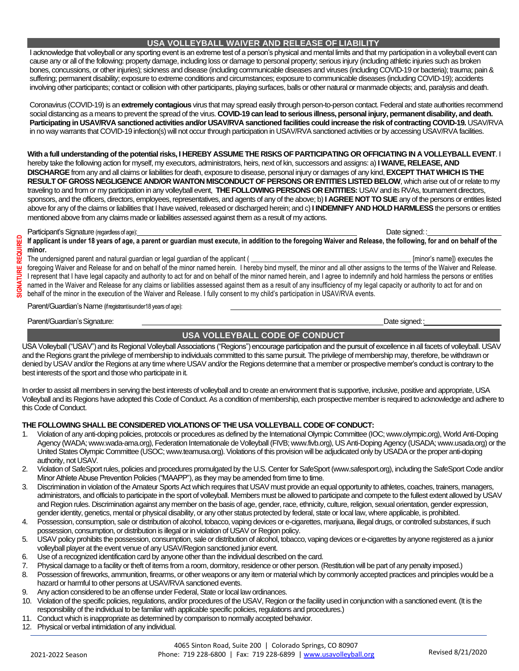I acknowledge that volleyball or any sporting event is an extreme test of a person's physical and mental limits and that my participation in a volleyball event can cause any or all of the following: property damage, including loss or damage to personal property; serious injury (including athletic injuries such as broken bones, concussions, or other injuries); sickness and disease (including communicable diseases and viruses (including COVID-19 or bacteria); trauma; pain & suffering; permanent disability; exposure to extreme conditions and circumstances; exposure to communicable diseases (including COVID-19); accidents involving other participants; contact or collision with other participants, playing surfaces, balls or other natural or manmade objects; and, paralysis and death.

Coronavirus (COVID-19) is an **extremely contagious** virus that may spread easily through person-to-person contact. Federal and state authorities recommend social distancing as a means to prevent the spread of the virus. **COVID-19 can lead to serious illness, personal injury, permanent disability, and death.**  Participating in USAV/RVA sanctioned activities and/or USAV/RVA sanctioned facilities could increase the risk of contracting COVID-19. USAV/RVA in no way warrants that COVID-19 infection(s) will not occur through participation in USAV/RVA sanctioned activities or by accessing USAV/RVA facilities.

**With a full understanding of the potential risks, I HEREBY ASSUME THE RISKS OF PARTICIPATING OR OFFICIATING IN A VOLLEYBALL EVENT**. I hereby take the following action for myself, my executors, administrators, heirs, next of kin, successors and assigns: a) **I WAIVE, RELEASE, AND DISCHARGE** from any and all claims or liabilities for death, exposure to disease, personal injury or damages of any kind, **EXCEPT THAT WHICH IS THE RESULT OF GROSS NEGLIGENCE AND/OR WANTON MISCONDUCT OF PERSONS OR ENTITIES LISTED BELOW**, which arise out of or relate to my traveling to and from or my participation in any volleyball event, **THE FOLLOWING PERSONS OR ENTITIES:** USAV and its RVAs, tournament directors, sponsors, and the officers, directors, employees, representatives, and agents of any of the above; b) **I AGREE NOT TO SUE** any of the persons or entities listed above for any of the claims or liabilities that I have waived, released or discharged herein; and c) **I INDEMNIFY AND HOLD HARMLESS**the persons or entities mentioned above from any claims made or liabilities assessed against them as a result of my actions.

#### Participant's Signature (regardless of age):  $\blacksquare$

If applicant is under 18 years of age, a parent or guardian must execute, in addition to the foregoing Waiver and Release, the following, for and on behalf of the **minor.**

The undersigned parent and natural guardian or legal guardian of the applicant ( **\_\_\_\_\_\_\_\_\_\_\_\_\_\_\_\_\_\_\_\_\_\_\_\_\_\_\_\_\_\_\_\_\_\_\_\_\_\_\_\_\_\_\_\_\_\_** [minor's name]) executes the

foregoing Waiver and Release for and on behalf of the minor named herein. I hereby bind myself, the minor and all other assigns to the terms of the Waiver and Release. I represent that I have legal capacity and authority to act for and on behalf of the minor named herein, and I agree to indemnify and hold harmless the persons or entities named in the Waiver and Release for any claims or liabilities assessed against them as a result of any insufficiency of my legal capacity or authority to act for and on behalf of the minor in the execution of the Waiver and Release. I fully consent to my child's participation in USAV/RVA events.

Parent/Guardian's Name (ifregistrantisunder18 years of age):

Parent/Guardian's Signature: **Date signed:** The signed: **Date signed: Date signed: Date signed: Date signed:** 

### **USA VOLLEYBALL CODE OF CONDUCT**

USA Volleyball ("USAV") and its Regional Volleyball Associations ("Regions") encourage participation and the pursuit of excellence in all facets of volleyball. USAV and the Regions grant the privilege of membership to individuals committed to this same pursuit. The privilege of membership may, therefore, be withdrawn or denied by USAV and/or the Regions at any time where USAV and/or the Regions determine that a member or prospective member's conduct is contrary to the best interests of the sport and those who participate in it.

In order to assist all members in serving the best interests of volleyball and to create an environment that is supportive, inclusive, positive and appropriate, USA Volleyball and its Regions have adopted this Code of Conduct. As a condition of membership, each prospective member is required to acknowledge and adhere to this Code of Conduct.

#### **THE FOLLOWING SHALL BE CONSIDERED VIOLATIONS OF THE USA VOLLEYBALL CODE OF CONDUCT:**

- 1. Violation of any anti-doping policies, protocols or procedures as defined by the International Olympic Committee (IOC; www.olympic.org), World Anti-Doping Agency (WADA; www.wada-ama.org), Federation Internationale de Volleyball (FIVB; www.fivb.org), US Anti-Doping Agency (USADA; www.usada.org) or the United States Olympic Committee (USOC; www.teamusa.org). Violations of this provision will be adjudicated only by USADA or the proper anti-doping authority, not USAV.
- 2. Violation of SafeSport rules, policies and procedures promulgated by the U.S. Center for SafeSport (www.safesport.org), including the SafeSport Code and/or Minor Athlete Abuse Prevention Policies ("MAAPP"), as they may be amended from time to time.
- 3. Discrimination in violation of the Amateur Sports Act which requires that USAV must provide an equal opportunity to athletes, coaches, trainers, managers, administrators, and officials to participate in the sport of volleyball. Members must be allowed to participate and compete to the fullest extent allowed by USAV and Region rules. Discrimination against any member on the basis of age, gender, race, ethnicity, culture, religion, sexual orientation, gender expression, gender identity, genetics, mental or physical disability, or any other status protected by federal, state or local law, where applicable, is prohibited.
- Possession, consumption, sale or distribution of alcohol, tobacco, vaping devices or e-cigarettes, marijuana, illegal drugs, or controlled substances, if such possession, consumption, or distribution is illegal or in violation of USAV or Region policy.
- 5. USAV policy prohibits the possession, consumption, sale or distribution of alcohol, tobacco, vaping devices or e-cigarettes by anyone registered as a junior volleyball player at the event venue of any USAV/Region sanctioned junior event.
- 6. Use of a recognized identification card by anyone other than the individual described on the card.
- 7. Physical damage to a facility or theft of items from a room, dormitory, residence or other person. (Restitution will be part of any penalty imposed.)
- 8. Possession of fireworks, ammunition, firearms, or other weapons or any item or material which by commonly accepted practices and principles would be a hazard or harmful to other persons at USAV/RVA sanctioned events.
- 9. Any action considered to be an offense under Federal, State or local law ordinances.
- 10. Violation of the specific policies, regulations, and/or procedures of the USAV, Region or the facility used in conjunction with a sanctioned event. (It is the responsibility of the individual to be familiar with applicable specific policies, regulations and procedures.)
- 11. Conduct which is inappropriate as determined by comparison to normally accepted behavior.
- 12. Physical or verbal intimidation of any individual.